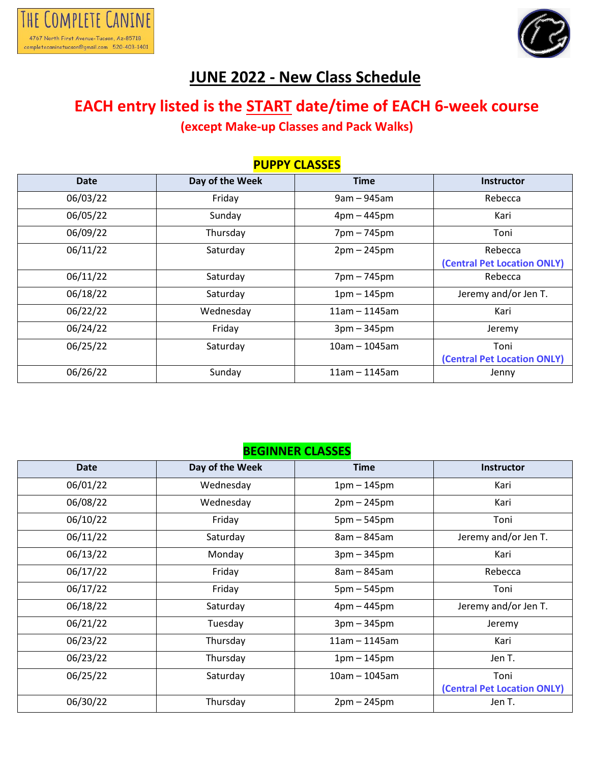



## **JUNE 2022 - New Class Schedule**

## **EACH entry listed is the START date/time of EACH 6-week course (except Make-up Classes and Pack Walks)**

| <b>PUPPY CLASSES</b> |                 |                 |                                        |  |
|----------------------|-----------------|-----------------|----------------------------------------|--|
| Date                 | Day of the Week | <b>Time</b>     | Instructor                             |  |
| 06/03/22             | Friday          | $9am - 945am$   | Rebecca                                |  |
| 06/05/22             | Sunday          | $4pm - 445pm$   | Kari                                   |  |
| 06/09/22             | Thursday        | 7pm - 745pm     | Toni                                   |  |
| 06/11/22             | Saturday        | $2pm - 245pm$   | Rebecca<br>(Central Pet Location ONLY) |  |
| 06/11/22             | Saturday        | 7pm - 745pm     | Rebecca                                |  |
| 06/18/22             | Saturday        | $1pm - 145pm$   | Jeremy and/or Jen T.                   |  |
| 06/22/22             | Wednesday       | $11am - 1145am$ | Kari                                   |  |
| 06/24/22             | Friday          | $3pm - 345pm$   | Jeremy                                 |  |
| 06/25/22             | Saturday        | $10am - 1045am$ | Toni<br>(Central Pet Location ONLY)    |  |
| 06/26/22             | Sunday          | $11am - 1145am$ | Jenny                                  |  |

#### **BEGINNER CLASSES**

| Date     | Day of the Week | <b>Time</b>     | <b>Instructor</b>           |
|----------|-----------------|-----------------|-----------------------------|
| 06/01/22 | Wednesday       | $1pm - 145pm$   | Kari                        |
| 06/08/22 | Wednesday       | $2pm - 245pm$   | Kari                        |
| 06/10/22 | Friday          | $5pm - 545pm$   | Toni                        |
| 06/11/22 | Saturday        | 8am - 845am     | Jeremy and/or Jen T.        |
| 06/13/22 | Monday          | $3pm - 345pm$   | Kari                        |
| 06/17/22 | Friday          | 8am - 845am     | Rebecca                     |
| 06/17/22 | Friday          | $5pm - 545pm$   | Toni                        |
| 06/18/22 | Saturday        | $4pm - 445pm$   | Jeremy and/or Jen T.        |
| 06/21/22 | Tuesday         | $3pm - 345pm$   | Jeremy                      |
| 06/23/22 | Thursday        | $11am - 1145am$ | Kari                        |
| 06/23/22 | Thursday        | $1pm - 145pm$   | Jen T.                      |
| 06/25/22 | Saturday        | 10am - 1045am   | Toni                        |
|          |                 |                 | (Central Pet Location ONLY) |
| 06/30/22 | Thursday        | $2pm - 245pm$   | Jen T.                      |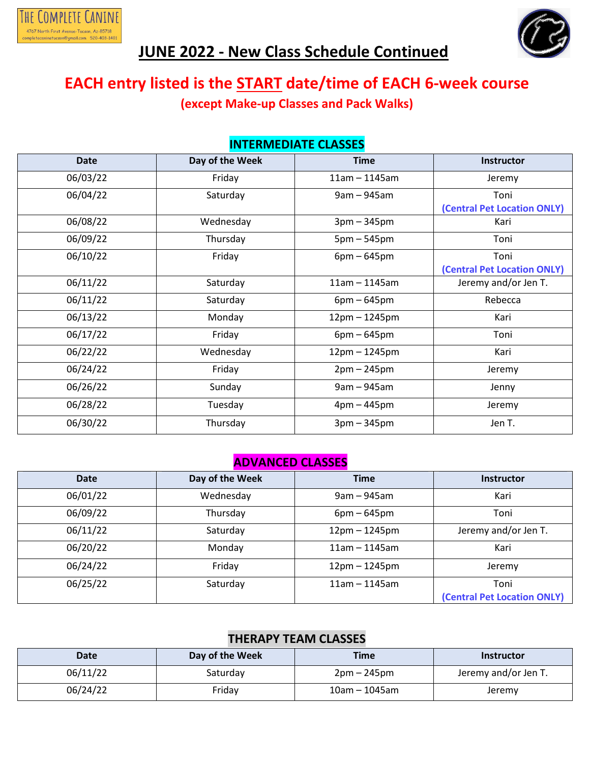



# **JUNE 2022 - New Class Schedule Continued**

## **EACH entry listed is the START date/time of EACH 6-week course**

**(except Make-up Classes and Pack Walks)**

| <b>INTERMEDIATE CLASSES</b> |                 |                 |                                     |  |
|-----------------------------|-----------------|-----------------|-------------------------------------|--|
| <b>Date</b>                 | Day of the Week | <b>Time</b>     | <b>Instructor</b>                   |  |
| 06/03/22                    | Friday          | $11am - 1145am$ | Jeremy                              |  |
| 06/04/22                    | Saturday        | $9am - 945am$   | Toni<br>(Central Pet Location ONLY) |  |
| 06/08/22                    | Wednesday       | $3pm - 345pm$   | Kari                                |  |
| 06/09/22                    | Thursday        | $5pm - 545pm$   | Toni                                |  |
| 06/10/22                    | Friday          | $6pm - 645pm$   | Toni<br>(Central Pet Location ONLY) |  |
| 06/11/22                    | Saturday        | 11am - 1145am   | Jeremy and/or Jen T.                |  |
| 06/11/22                    | Saturday        | $6pm - 645pm$   | Rebecca                             |  |
| 06/13/22                    | Monday          | $12pm - 1245pm$ | Kari                                |  |
| 06/17/22                    | Friday          | $6pm - 645pm$   | Toni                                |  |
| 06/22/22                    | Wednesday       | 12pm - 1245pm   | Kari                                |  |
| 06/24/22                    | Friday          | $2pm - 245pm$   | Jeremy                              |  |
| 06/26/22                    | Sunday          | $9am - 945am$   | Jenny                               |  |
| 06/28/22                    | Tuesday         | $4pm - 445pm$   | Jeremy                              |  |
| 06/30/22                    | Thursday        | $3pm - 345pm$   | Jen T.                              |  |

#### **ADVANCED CLASSES**

| <b>Date</b> | Day of the Week | <b>Time</b>     | <b>Instructor</b>           |
|-------------|-----------------|-----------------|-----------------------------|
| 06/01/22    | Wednesday       | $9am - 945am$   | Kari                        |
| 06/09/22    | Thursday        | $6pm - 645pm$   | Toni                        |
| 06/11/22    | Saturday        | $12pm - 1245pm$ | Jeremy and/or Jen T.        |
| 06/20/22    | Monday          | $11am - 1145am$ | Kari                        |
| 06/24/22    | Friday          | $12pm - 1245pm$ | Jeremy                      |
| 06/25/22    | Saturday        | $11am - 1145am$ | Toni                        |
|             |                 |                 | (Central Pet Location ONLY) |

#### **THERAPY TEAM CLASSES**

| Date     | Day of the Week | Time          | <b>Instructor</b>    |
|----------|-----------------|---------------|----------------------|
| 06/11/22 | Saturday        | 2pm – 245pm   | Jeremy and/or Jen T. |
| 06/24/22 | Friday          | 10am – 1045am | Jeremy               |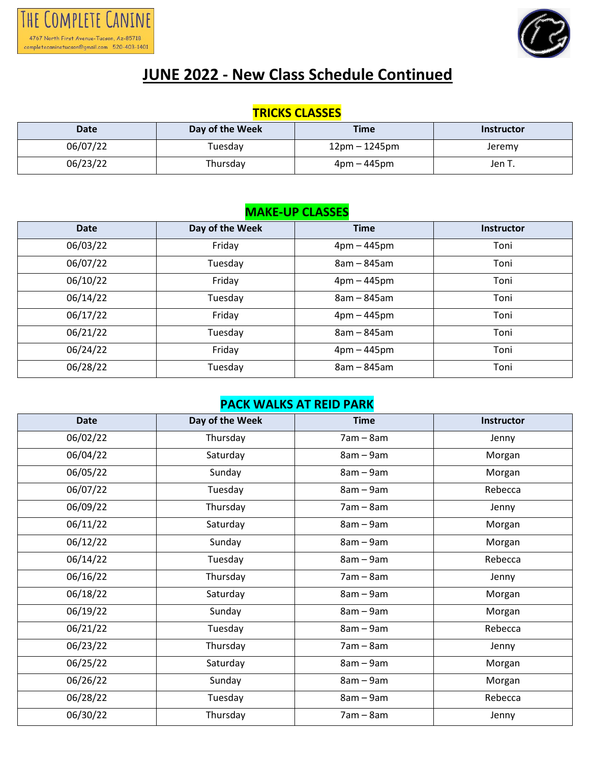



# **JUNE 2022 - New Class Schedule Continued**

### **TRICKS CLASSES**

| Date     | Day of the Week | <b>Time</b>     | <b>Instructor</b> |
|----------|-----------------|-----------------|-------------------|
| 06/07/22 | Tuesdav         | $12pm - 1245pm$ | Jeremy            |
| 06/23/22 | Thursday        | 4pm – 445pm     | Jen T.            |

#### **MAKE-UP CLASSES**

| <b>Date</b> | Day of the Week | <b>Time</b>   | <b>Instructor</b> |
|-------------|-----------------|---------------|-------------------|
| 06/03/22    | Friday          | $4pm - 445pm$ | Toni              |
| 06/07/22    | Tuesday         | $8am - 845am$ | Toni              |
| 06/10/22    | Friday          | $4pm - 445pm$ | Toni              |
| 06/14/22    | Tuesday         | $8am - 845am$ | Toni              |
| 06/17/22    | Friday          | $4pm - 445pm$ | Toni              |
| 06/21/22    | Tuesday         | $8am - 845am$ | Toni              |
| 06/24/22    | Friday          | $4pm - 445pm$ | Toni              |
| 06/28/22    | Tuesday         | $8am - 845am$ | Toni              |

#### **PACK WALKS AT REID PARK**

| <b>Date</b> | Day of the Week | <b>Time</b> | Instructor |
|-------------|-----------------|-------------|------------|
| 06/02/22    | Thursday        | $7am - 8am$ | Jenny      |
| 06/04/22    | Saturday        | $8am - 9am$ | Morgan     |
| 06/05/22    | Sunday          | 8am - 9am   | Morgan     |
| 06/07/22    | Tuesday         | $8am - 9am$ | Rebecca    |
| 06/09/22    | Thursday        | $7am - 8am$ | Jenny      |
| 06/11/22    | Saturday        | $8am - 9am$ | Morgan     |
| 06/12/22    | Sunday          | 8am - 9am   | Morgan     |
| 06/14/22    | Tuesday         | $8am - 9am$ | Rebecca    |
| 06/16/22    | Thursday        | $7am - 8am$ | Jenny      |
| 06/18/22    | Saturday        | $8am - 9am$ | Morgan     |
| 06/19/22    | Sunday          | $8am - 9am$ | Morgan     |
| 06/21/22    | Tuesday         | $8am - 9am$ | Rebecca    |
| 06/23/22    | Thursday        | $7am - 8am$ | Jenny      |
| 06/25/22    | Saturday        | $8am - 9am$ | Morgan     |
| 06/26/22    | Sunday          | $8am - 9am$ | Morgan     |
| 06/28/22    | Tuesday         | $8am - 9am$ | Rebecca    |
| 06/30/22    | Thursday        | $7am - 8am$ | Jenny      |